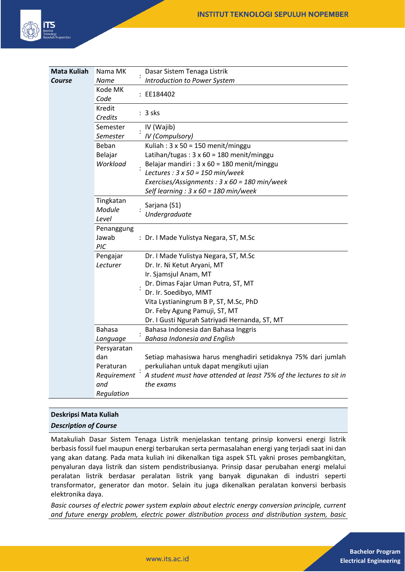

| <b>Mata Kuliah</b> | Nama MK                      |  | Dasar Sistem Tenaga Listrik                                         |
|--------------------|------------------------------|--|---------------------------------------------------------------------|
| Course             | Name                         |  | <b>Introduction to Power System</b>                                 |
|                    | Kode MK<br>Code              |  | : EE184402                                                          |
|                    | Kredit<br>Credits            |  | $: 3$ sks                                                           |
|                    | Semester                     |  | IV (Wajib)                                                          |
|                    | Semester                     |  | <b>IV</b> (Compulsory)                                              |
|                    | Beban                        |  | Kuliah: $3 \times 50 = 150$ menit/minggu                            |
|                    | Belajar                      |  | Latihan/tugas: $3 \times 60 = 180$ menit/minggu                     |
|                    | Workload                     |  | Belajar mandiri : 3 x 60 = 180 menit/minggu                         |
|                    |                              |  | Lectures : $3 \times 50 = 150$ min/week                             |
|                    |                              |  | Exercises/Assignments: 3 x 60 = 180 min/week                        |
|                    |                              |  | Self learning : $3 \times 60 = 180$ min/week                        |
|                    | Tingkatan<br>Module<br>Level |  | Sarjana (S1)<br>Undergraduate                                       |
|                    | Penanggung<br>Jawab<br>PIC   |  | : Dr. I Made Yulistya Negara, ST, M.Sc                              |
|                    | Pengajar                     |  | Dr. I Made Yulistya Negara, ST, M.Sc                                |
|                    | Lecturer                     |  | Dr. Ir. Ni Ketut Aryani, MT                                         |
|                    |                              |  | Ir. Sjamsjul Anam, MT                                               |
|                    |                              |  | Dr. Dimas Fajar Uman Putra, ST, MT                                  |
|                    |                              |  | Dr. Ir. Soedibyo, MMT                                               |
|                    |                              |  | Vita Lystianingrum B P, ST, M.Sc, PhD                               |
|                    |                              |  | Dr. Feby Agung Pamuji, ST, MT                                       |
|                    |                              |  | Dr. I Gusti Ngurah Satriyadi Hernanda, ST, MT                       |
|                    | <b>Bahasa</b>                |  | Bahasa Indonesia dan Bahasa Inggris                                 |
|                    | Language                     |  | <b>Bahasa Indonesia and English</b>                                 |
|                    | Persyaratan                  |  |                                                                     |
|                    | dan                          |  | Setiap mahasiswa harus menghadiri setidaknya 75% dari jumlah        |
|                    | Peraturan                    |  | perkuliahan untuk dapat mengikuti ujian                             |
|                    | Requirement                  |  | A student must have attended at least 75% of the lectures to sit in |
|                    | and                          |  | the exams                                                           |
|                    | Regulation                   |  |                                                                     |

# **Deskripsi Mata Kuliah**

# *Description of Course*

Matakuliah Dasar Sistem Tenaga Listrik menjelaskan tentang prinsip konversi energi listrik berbasis fossil fuel maupun energi terbarukan serta permasalahan energi yang terjadi saat ini dan yang akan datang. Pada mata kuliah ini dikenalkan tiga aspek STL yakni proses pembangkitan, penyaluran daya listrik dan sistem pendistribusianya. Prinsip dasar perubahan energi melalui peralatan listrik berdasar peralatan listrik yang banyak digunakan di industri seperti transformator, generator dan motor. Selain itu juga dikenalkan peralatan konversi berbasis elektronika daya.

*Basic courses of electric power system explain about electric energy conversion principle, current and future energy problem, electric power distribution process and distribution system, basic*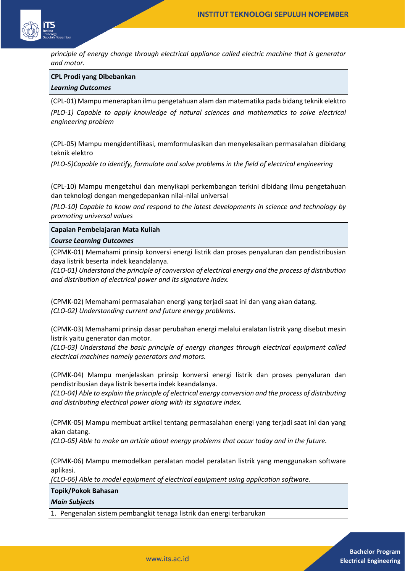

*principle of energy change through electrical appliance called electric machine that is generator and motor.*

#### **CPL Prodi yang Dibebankan**

#### *Learning Outcomes*

(CPL-01) Mampu menerapkan ilmu pengetahuan alam dan matematika pada bidang teknik elektro

*(PLO-1) Capable to apply knowledge of natural sciences and mathematics to solve electrical engineering problem* 

(CPL-05) Mampu mengidentifikasi, memformulasikan dan menyelesaikan permasalahan dibidang teknik elektro

*(PLO-5)Capable to identify, formulate and solve problems in the field of electrical engineering* 

(CPL-10) Mampu mengetahui dan menyikapi perkembangan terkini dibidang ilmu pengetahuan dan teknologi dengan mengedepankan nilai-nilai universal

*(PLO-10) Capable to know and respond to the latest developments in science and technology by promoting universal values* 

**Capaian Pembelajaran Mata Kuliah**

#### *Course Learning Outcomes*

(CPMK-01) Memahami prinsip konversi energi listrik dan proses penyaluran dan pendistribusian daya listrik beserta indek keandalanya.

*(CLO-01) Understand the principle of conversion of electrical energy and the process of distribution and distribution of electrical power and its signature index.*

(CPMK-02) Memahami permasalahan energi yang terjadi saat ini dan yang akan datang. *(CLO-02) Understanding current and future energy problems.*

(CPMK-03) Memahami prinsip dasar perubahan energi melalui eralatan listrik yang disebut mesin listrik yaitu generator dan motor.

*(CLO-03) Understand the basic principle of energy changes through electrical equipment called electrical machines namely generators and motors.*

(CPMK-04) Mampu menjelaskan prinsip konversi energi listrik dan proses penyaluran dan pendistribusian daya listrik beserta indek keandalanya.

*(CLO-04) Able to explain the principle of electrical energy conversion and the process of distributing and distributing electrical power along with its signature index.*

(CPMK-05) Mampu membuat artikel tentang permasalahan energi yang terjadi saat ini dan yang akan datang.

*(CLO-05) Able to make an article about energy problems that occur today and in the future.*

(CPMK-06) Mampu memodelkan peralatan model peralatan listrik yang menggunakan software aplikasi.

*(CLO-06) Able to model equipment of electrical equipment using application software.*

**Topik/Pokok Bahasan**

*Main Subjects*

1. Pengenalan sistem pembangkit tenaga listrik dan energi terbarukan